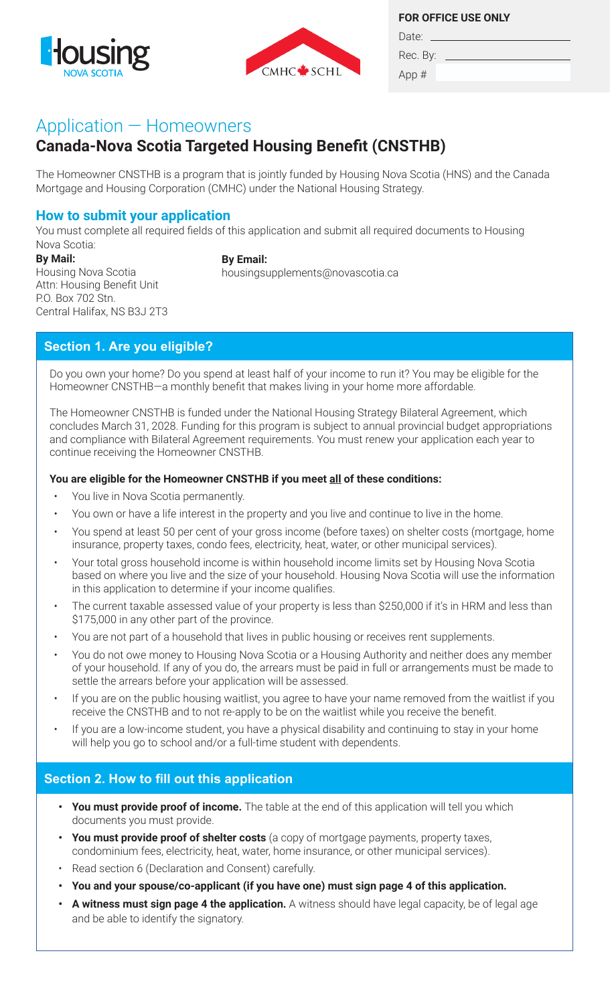



**FOR OFFICE USE ONLY**

Rec. By: App #

Date:

# Application — Homeowners

# **Canada-Nova Scotia Targeted Housing Benefit (CNSTHB)**

The Homeowner CNSTHB is a program that is jointly funded by Housing Nova Scotia (HNS) and the Canada Mortgage and Housing Corporation (CMHC) under the National Housing Strategy.

### **How to submit your application**

You must complete all required fields of this application and submit all required documents to Housing Nova Scotia:

**By Mail:** Housing Nova Scotia Attn: Housing Benefit Unit P.O. Box 702 Stn. Central Halifax, NS B3J 2T3

**By Email:**

housingsupplements@novascotia.ca

# **Section 1. Are you eligible?**

Do you own your home? Do you spend at least half of your income to run it? You may be eligible for the Homeowner CNSTHB—a monthly benefit that makes living in your home more affordable.

The Homeowner CNSTHB is funded under the National Housing Strategy Bilateral Agreement, which concludes March 31, 2028. Funding for this program is subject to annual provincial budget appropriations and compliance with Bilateral Agreement requirements. You must renew your application each year to continue receiving the Homeowner CNSTHB.

### **You are eligible for the Homeowner CNSTHB if you meet all of these conditions:**

- You live in Nova Scotia permanently.
- You own or have a life interest in the property and you live and continue to live in the home.
- You spend at least 50 per cent of your gross income (before taxes) on shelter costs (mortgage, home insurance, property taxes, condo fees, electricity, heat, water, or other municipal services).
- based on where you live and the size of your household. Housing Nova Scotia will use the information • Your total gross household income is within household income limits set by Housing Nova Scotia in this application to determine if your income qualifies.
	- The current taxable assessed value of your property is less than \$250,000 if it's in HRM and less than \$175,000 in any other part of the province.
	- You are not part of a household that lives in public housing or receives rent supplements.
	- You do not owe money to Housing Nova Scotia or a Housing Authority and neither does any member of your household. If any of you do, the arrears must be paid in full or arrangements must be made to settle the arrears before your application will be assessed.
	- If you are on the public housing waitlist, you agree to have your name removed from the waitlist if you receive the CNSTHB and to not re-apply to be on the waitlist while you receive the benefit.
	- If you are a low-income student, you have a physical disability and continuing to stay in your home will help you go to school and/or a full-time student with dependents.

## **Section 2. How to fill out this application**

- **• You must provide proof of income.** The table at the end of this application will tell you which documents you must provide.
- **• You must provide proof of shelter costs** (a copy of mortgage payments, property taxes, condominium fees, electricity, heat, water, home insurance, or other municipal services).
- Read section 6 (Declaration and Consent) carefully.
- **• You and your spouse/co-applicant (if you have one) must sign page 4 of this application.**
- **• A witness must sign page 4 the application.** A witness should have legal capacity, be of legal age and be able to identify the signatory.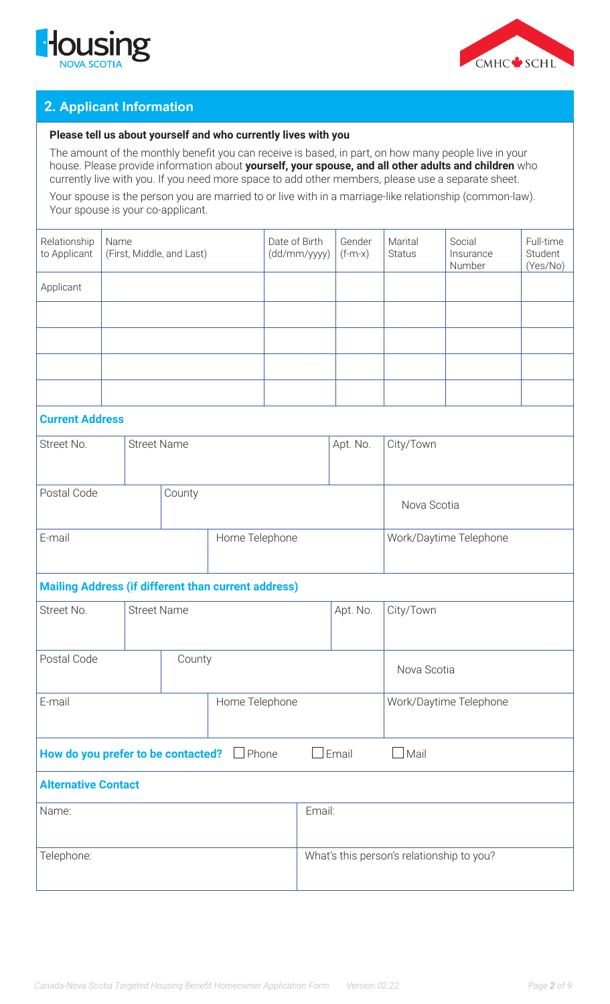



# **2. Applicant Information**

#### **Please tell us about yourself and who currently lives with you**

The amount of the monthly benefit you can receive is based, in part, on how many people live in your house. Please provide information about **yourself, your spouse, and all other adults and children** who currently live with you. If you need more space to add other members, please use a separate sheet.

Your spouse is the person you are married to or live with in a marriage-like relationship (common-law). Your spouse is your co-applicant.

| Relationship<br>to Applicant | Name<br>(First, Middle, and Last) | Date of Birth<br>(dd/mm/yyyy) | Gender<br>$(f-m-x)$ | Marital<br><b>Status</b> | Social<br>Insurance<br>Number | Full-time<br>Student<br>(Yes/No) |
|------------------------------|-----------------------------------|-------------------------------|---------------------|--------------------------|-------------------------------|----------------------------------|
| Applicant                    |                                   |                               |                     |                          |                               |                                  |
|                              |                                   |                               |                     |                          |                               |                                  |
|                              |                                   |                               |                     |                          |                               |                                  |
|                              |                                   |                               |                     |                          |                               |                                  |
|                              |                                   |                               |                     |                          |                               |                                  |

### **Current Address**

| Street No.  | <b>Street Name</b> |                | Apt. No. |                        | City/Town   |
|-------------|--------------------|----------------|----------|------------------------|-------------|
|             |                    |                |          |                        |             |
| Postal Code |                    | County         |          |                        | Nova Scotia |
| E-mail      |                    | Home Telephone |          | Work/Daytime Telephone |             |

#### **Mailing Address (if different than current address)**

| Street No.                                                                            | <b>Street Name</b> |        |                | Apt. No. | City/Town                                 |                        |
|---------------------------------------------------------------------------------------|--------------------|--------|----------------|----------|-------------------------------------------|------------------------|
| Postal Code                                                                           |                    | County |                |          |                                           | Nova Scotia            |
| E-mail                                                                                |                    |        | Home Telephone |          |                                           | Work/Daytime Telephone |
| Email<br>How do you prefer to be contacted?<br>Mail<br>$\Box$ Phone<br>$\blacksquare$ |                    |        |                |          |                                           |                        |
| <b>Alternative Contact</b>                                                            |                    |        |                |          |                                           |                        |
| Name:                                                                                 |                    | Email: |                |          |                                           |                        |
| Telephone:                                                                            |                    |        |                |          | What's this person's relationship to you? |                        |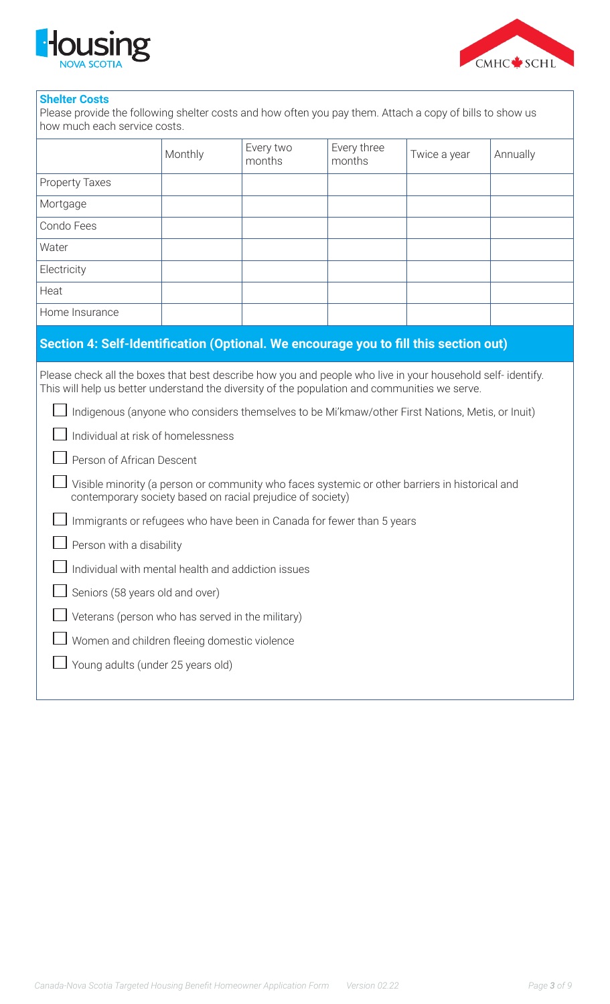



#### **Shelter Costs**

Please provide the following shelter costs and how often you pay them. Attach a copy of bills to show us how much each service costs.

|                                                                                                                                                                                                                                                                                                                                                                                                                                                                                                                                                                                                                                                                                                                                                                                                     | Monthly | Every two<br>months | Every three<br>months | Twice a year | Annually |  |  |
|-----------------------------------------------------------------------------------------------------------------------------------------------------------------------------------------------------------------------------------------------------------------------------------------------------------------------------------------------------------------------------------------------------------------------------------------------------------------------------------------------------------------------------------------------------------------------------------------------------------------------------------------------------------------------------------------------------------------------------------------------------------------------------------------------------|---------|---------------------|-----------------------|--------------|----------|--|--|
| Property Taxes                                                                                                                                                                                                                                                                                                                                                                                                                                                                                                                                                                                                                                                                                                                                                                                      |         |                     |                       |              |          |  |  |
| Mortgage                                                                                                                                                                                                                                                                                                                                                                                                                                                                                                                                                                                                                                                                                                                                                                                            |         |                     |                       |              |          |  |  |
| Condo Fees                                                                                                                                                                                                                                                                                                                                                                                                                                                                                                                                                                                                                                                                                                                                                                                          |         |                     |                       |              |          |  |  |
| Water                                                                                                                                                                                                                                                                                                                                                                                                                                                                                                                                                                                                                                                                                                                                                                                               |         |                     |                       |              |          |  |  |
| Electricity                                                                                                                                                                                                                                                                                                                                                                                                                                                                                                                                                                                                                                                                                                                                                                                         |         |                     |                       |              |          |  |  |
| Heat                                                                                                                                                                                                                                                                                                                                                                                                                                                                                                                                                                                                                                                                                                                                                                                                |         |                     |                       |              |          |  |  |
| Home Insurance                                                                                                                                                                                                                                                                                                                                                                                                                                                                                                                                                                                                                                                                                                                                                                                      |         |                     |                       |              |          |  |  |
| Section 4: Self-Identification (Optional. We encourage you to fill this section out)                                                                                                                                                                                                                                                                                                                                                                                                                                                                                                                                                                                                                                                                                                                |         |                     |                       |              |          |  |  |
| Please check all the boxes that best describe how you and people who live in your household self-identify.<br>This will help us better understand the diversity of the population and communities we serve.<br>Indigenous (anyone who considers themselves to be Mi'kmaw/other First Nations, Metis, or Inuit)<br>Individual at risk of homelessness<br>Person of African Descent<br>Visible minority (a person or community who faces systemic or other barriers in historical and<br>contemporary society based on racial prejudice of society)<br>Immigrants or refugees who have been in Canada for fewer than 5 years<br>Person with a disability<br>Individual with mental health and addiction issues<br>Seniors (58 years old and over)<br>Veterans (person who has served in the military) |         |                     |                       |              |          |  |  |
| Women and children fleeing domestic violence                                                                                                                                                                                                                                                                                                                                                                                                                                                                                                                                                                                                                                                                                                                                                        |         |                     |                       |              |          |  |  |
| Young adults (under 25 years old)                                                                                                                                                                                                                                                                                                                                                                                                                                                                                                                                                                                                                                                                                                                                                                   |         |                     |                       |              |          |  |  |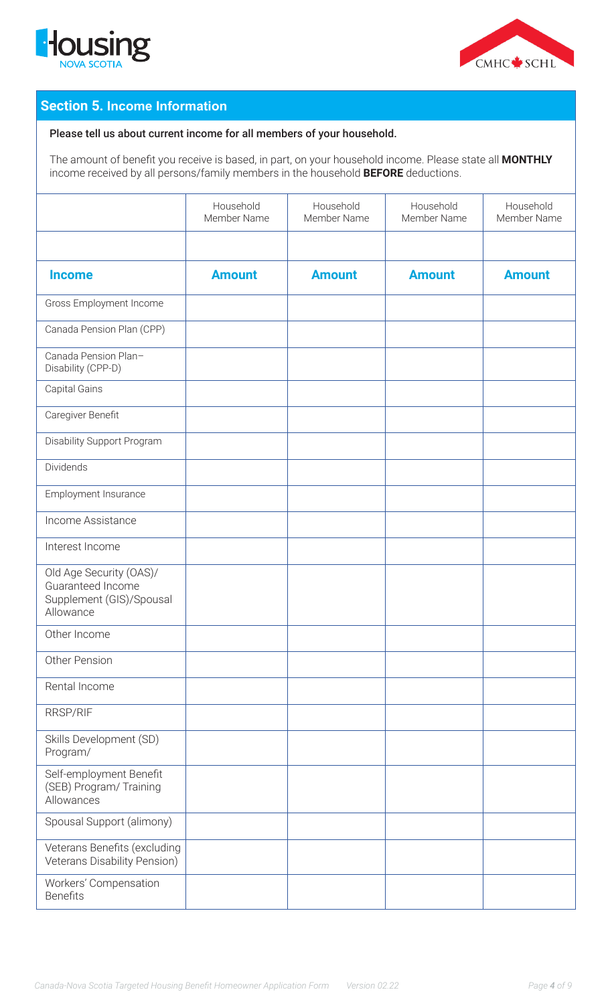



# **Section 5. Income Information**

#### Please tell us about current income for all members of your household.

The amount of benefit you receive is based, in part, on your household income. Please state all **MONTHLY** income received by all persons/family members in the household **BEFORE** deductions.

|                                                                                       | Household<br>Member Name | Household<br>Member Name | Household<br>Member Name | Household<br>Member Name |
|---------------------------------------------------------------------------------------|--------------------------|--------------------------|--------------------------|--------------------------|
|                                                                                       |                          |                          |                          |                          |
| <b>Income</b>                                                                         | <b>Amount</b>            | <b>Amount</b>            | <b>Amount</b>            | <b>Amount</b>            |
| Gross Employment Income                                                               |                          |                          |                          |                          |
| Canada Pension Plan (CPP)                                                             |                          |                          |                          |                          |
| Canada Pension Plan-<br>Disability (CPP-D)                                            |                          |                          |                          |                          |
| Capital Gains                                                                         |                          |                          |                          |                          |
| Caregiver Benefit                                                                     |                          |                          |                          |                          |
| Disability Support Program                                                            |                          |                          |                          |                          |
| Dividends                                                                             |                          |                          |                          |                          |
| Employment Insurance                                                                  |                          |                          |                          |                          |
| Income Assistance                                                                     |                          |                          |                          |                          |
| Interest Income                                                                       |                          |                          |                          |                          |
| Old Age Security (OAS)/<br>Guaranteed Income<br>Supplement (GIS)/Spousal<br>Allowance |                          |                          |                          |                          |
| Other Income                                                                          |                          |                          |                          |                          |
| Other Pension                                                                         |                          |                          |                          |                          |
| Rental Income                                                                         |                          |                          |                          |                          |
| <b>RRSP/RIF</b>                                                                       |                          |                          |                          |                          |
| Skills Development (SD)<br>Program/                                                   |                          |                          |                          |                          |
| Self-employment Benefit<br>(SEB) Program/ Training<br>Allowances                      |                          |                          |                          |                          |
| Spousal Support (alimony)                                                             |                          |                          |                          |                          |
| Veterans Benefits (excluding<br>Veterans Disability Pension)                          |                          |                          |                          |                          |
| Workers' Compensation<br><b>Benefits</b>                                              |                          |                          |                          |                          |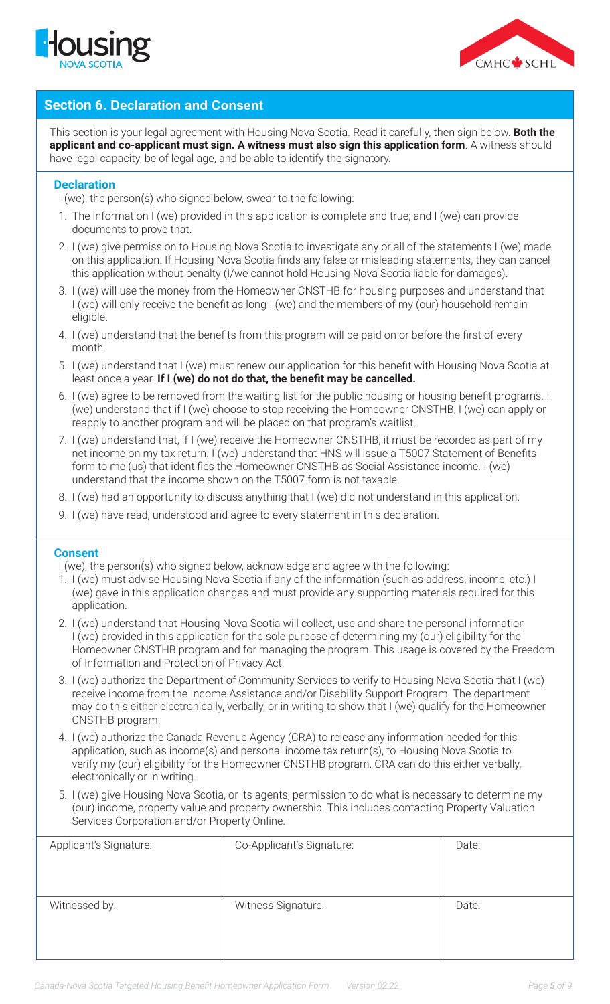



### **Section 6. Declaration and Consent**

This section is your legal agreement with Housing Nova Scotia. Read it carefully, then sign below. **Both the applicant and co-applicant must sign. A witness must also sign this application form**. A witness should have legal capacity, be of legal age, and be able to identify the signatory.

#### **Declaration**

I (we), the person(s) who signed below, swear to the following:

- 1. The information I (we) provided in this application is complete and true; and I (we) can provide documents to prove that.
- 2. I (we) give permission to Housing Nova Scotia to investigate any or all of the statements I (we) made on this application. If Housing Nova Scotia finds any false or misleading statements, they can cancel this application without penalty (I/we cannot hold Housing Nova Scotia liable for damages).
- 3. I (we) will use the money from the Homeowner CNSTHB for housing purposes and understand that I (we) will only receive the benefit as long I (we) and the members of my (our) household remain eligible.
- 4. I (we) understand that the benefits from this program will be paid on or before the first of every month.
- 5. I (we) understand that I (we) must renew our application for this benefit with Housing Nova Scotia at least once a year. **If I (we) do not do that, the benefit may be cancelled.**
- 6. I (we) agree to be removed from the waiting list for the public housing or housing benefit programs. I (we) understand that if I (we) choose to stop receiving the Homeowner CNSTHB, I (we) can apply or reapply to another program and will be placed on that program's waitlist.
- 7. I (we) understand that, if I (we) receive the Homeowner CNSTHB, it must be recorded as part of my net income on my tax return. I (we) understand that HNS will issue a T5007 Statement of Benefits form to me (us) that identifies the Homeowner CNSTHB as Social Assistance income. I (we) understand that the income shown on the T5007 form is not taxable.
- 8. I (we) had an opportunity to discuss anything that I (we) did not understand in this application.
- 9. I (we) have read, understood and agree to every statement in this declaration.

#### **Consent**

I (we), the person(s) who signed below, acknowledge and agree with the following:

- 1. I (we) must advise Housing Nova Scotia if any of the information (such as address, income, etc.) I (we) gave in this application changes and must provide any supporting materials required for this application.
- 2. I (we) understand that Housing Nova Scotia will collect, use and share the personal information I (we) provided in this application for the sole purpose of determining my (our) eligibility for the Homeowner CNSTHB program and for managing the program. This usage is covered by the Freedom of Information and Protection of Privacy Act.
- 3. I (we) authorize the Department of Community Services to verify to Housing Nova Scotia that I (we) receive income from the Income Assistance and/or Disability Support Program. The department may do this either electronically, verbally, or in writing to show that I (we) qualify for the Homeowner CNSTHB program.
- 4. I (we) authorize the Canada Revenue Agency (CRA) to release any information needed for this application, such as income(s) and personal income tax return(s), to Housing Nova Scotia to verify my (our) eligibility for the Homeowner CNSTHB program. CRA can do this either verbally, electronically or in writing.
- 5. I (we) give Housing Nova Scotia, or its agents, permission to do what is necessary to determine my (our) income, property value and property ownership. This includes contacting Property Valuation Services Corporation and/or Property Online.

| Applicant's Signature: | Co-Applicant's Signature: | Date: |
|------------------------|---------------------------|-------|
| Witnessed by:          | Witness Signature:        | Date: |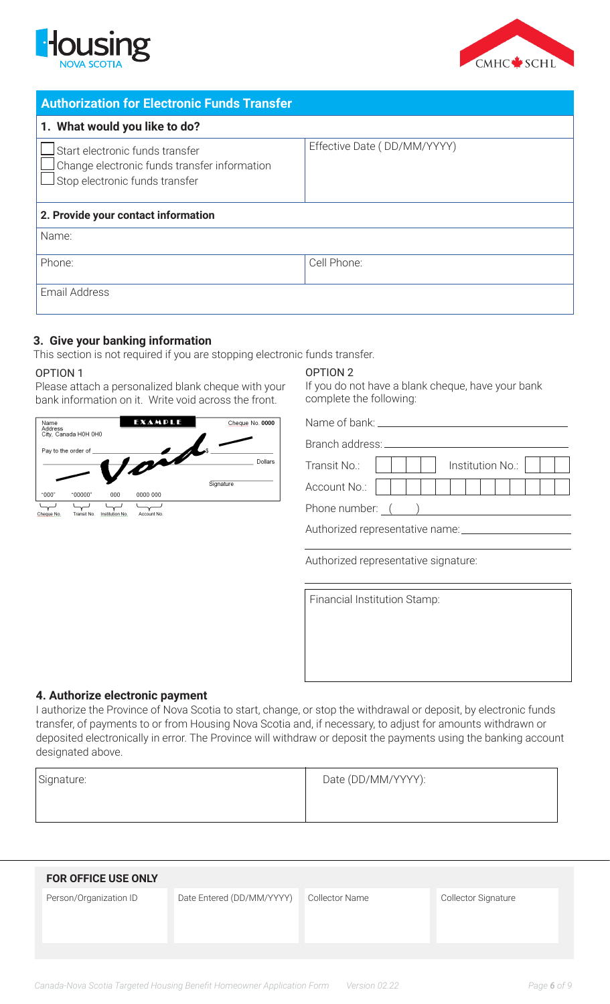



| <b>Authorization for Electronic Funds Transfer</b>                                                                |                             |  |  |  |
|-------------------------------------------------------------------------------------------------------------------|-----------------------------|--|--|--|
| 1. What would you like to do?                                                                                     |                             |  |  |  |
| Start electronic funds transfer<br>Change electronic funds transfer information<br>Stop electronic funds transfer | Effective Date (DD/MM/YYYY) |  |  |  |
| 2. Provide your contact information                                                                               |                             |  |  |  |
| Name:                                                                                                             |                             |  |  |  |
| Phone:                                                                                                            | Cell Phone:                 |  |  |  |
| Email Address                                                                                                     |                             |  |  |  |

### **3. Give your banking information**

This section is not required if you are stopping electronic funds transfer.

#### OPTION 1

Please attach a personalized blank cheque with your bank information on it. Write void across the front.



#### OPTION 2

If you do not have a blank cheque, have your bank complete the following:

Name of bank:

| Branch address: |  |  |  |  |  |                  |  |  |  |
|-----------------|--|--|--|--|--|------------------|--|--|--|
| Transit No.:    |  |  |  |  |  | Institution No.: |  |  |  |
| Account No.:    |  |  |  |  |  |                  |  |  |  |
| Phone number:   |  |  |  |  |  |                  |  |  |  |

Authorized representative name:

Authorized representative signature:

Financial Institution Stamp:

#### **4. Authorize electronic payment**

I authorize the Province of Nova Scotia to start, change, or stop the withdrawal or deposit, by electronic funds transfer, of payments to or from Housing Nova Scotia and, if necessary, to adjust for amounts withdrawn or deposited electronically in error. The Province will withdraw or deposit the payments using the banking account designated above.

| Signature: | Date (DD/MM/YYYY): |
|------------|--------------------|
|            |                    |

| <b>FOR OFFICE USE ONLY</b> |                           |                |                     |
|----------------------------|---------------------------|----------------|---------------------|
| Person/Organization ID     | Date Entered (DD/MM/YYYY) | Collector Name | Collector Signature |
|                            |                           |                |                     |
|                            |                           |                |                     |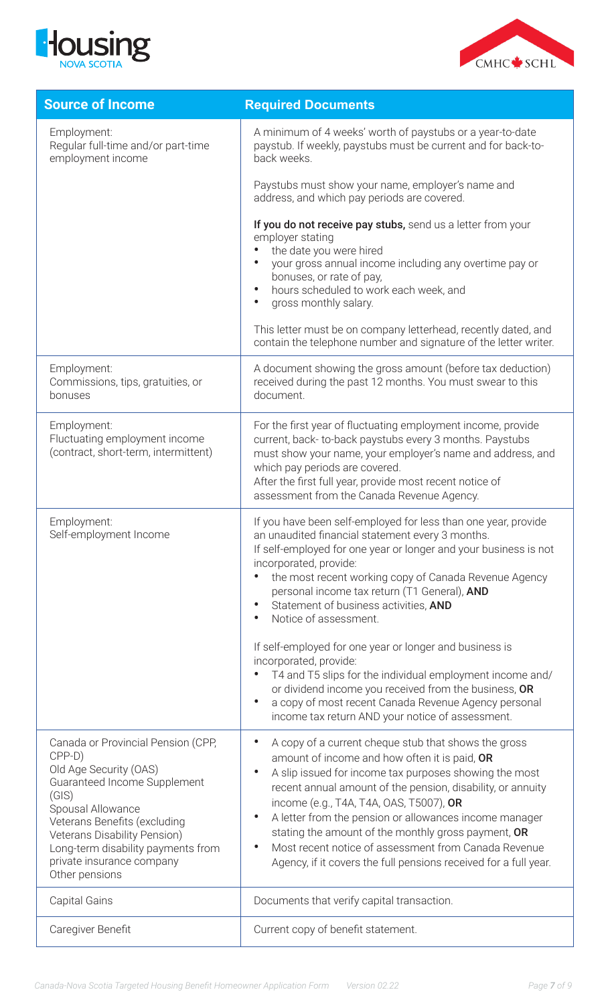



| <b>Source of Income</b>                                                                                                                                                                                                                                                                   | <b>Required Documents</b>                                                                                                                                                                                                                                                                                                                                                                                                                                                                                                                                                                                                        |
|-------------------------------------------------------------------------------------------------------------------------------------------------------------------------------------------------------------------------------------------------------------------------------------------|----------------------------------------------------------------------------------------------------------------------------------------------------------------------------------------------------------------------------------------------------------------------------------------------------------------------------------------------------------------------------------------------------------------------------------------------------------------------------------------------------------------------------------------------------------------------------------------------------------------------------------|
| Employment:<br>Regular full-time and/or part-time<br>employment income                                                                                                                                                                                                                    | A minimum of 4 weeks' worth of paystubs or a year-to-date<br>paystub. If weekly, paystubs must be current and for back-to-<br>back weeks.                                                                                                                                                                                                                                                                                                                                                                                                                                                                                        |
|                                                                                                                                                                                                                                                                                           | Paystubs must show your name, employer's name and<br>address, and which pay periods are covered.                                                                                                                                                                                                                                                                                                                                                                                                                                                                                                                                 |
|                                                                                                                                                                                                                                                                                           | If you do not receive pay stubs, send us a letter from your<br>employer stating<br>the date you were hired<br>your gross annual income including any overtime pay or<br>bonuses, or rate of pay,<br>hours scheduled to work each week, and<br>$\bullet$<br>gross monthly salary.<br>$\bullet$                                                                                                                                                                                                                                                                                                                                    |
|                                                                                                                                                                                                                                                                                           | This letter must be on company letterhead, recently dated, and<br>contain the telephone number and signature of the letter writer.                                                                                                                                                                                                                                                                                                                                                                                                                                                                                               |
| Employment:<br>Commissions, tips, gratuities, or<br>bonuses                                                                                                                                                                                                                               | A document showing the gross amount (before tax deduction)<br>received during the past 12 months. You must swear to this<br>document.                                                                                                                                                                                                                                                                                                                                                                                                                                                                                            |
| Employment:<br>Fluctuating employment income<br>(contract, short-term, intermittent)                                                                                                                                                                                                      | For the first year of fluctuating employment income, provide<br>current, back-to-back paystubs every 3 months. Paystubs<br>must show your name, your employer's name and address, and<br>which pay periods are covered.<br>After the first full year, provide most recent notice of<br>assessment from the Canada Revenue Agency.                                                                                                                                                                                                                                                                                                |
| Employment:<br>Self-employment Income                                                                                                                                                                                                                                                     | If you have been self-employed for less than one year, provide<br>an unaudited financial statement every 3 months.<br>If self-employed for one year or longer and your business is not<br>incorporated, provide:<br>the most recent working copy of Canada Revenue Agency<br>personal income tax return (T1 General), AND<br>Statement of business activities, AND<br>$\bullet$<br>Notice of assessment.<br>$\bullet$<br>If self-employed for one year or longer and business is<br>incorporated, provide:<br>T4 and T5 slips for the individual employment income and/<br>or dividend income you received from the business, OR |
|                                                                                                                                                                                                                                                                                           | a copy of most recent Canada Revenue Agency personal<br>$\bullet$<br>income tax return AND your notice of assessment.                                                                                                                                                                                                                                                                                                                                                                                                                                                                                                            |
| Canada or Provincial Pension (CPP,<br>CPP-D)<br>Old Age Security (OAS)<br>Guaranteed Income Supplement<br>(GIS)<br>Spousal Allowance<br>Veterans Benefits (excluding<br>Veterans Disability Pension)<br>Long-term disability payments from<br>private insurance company<br>Other pensions | A copy of a current cheque stub that shows the gross<br>$\bullet$<br>amount of income and how often it is paid, OR<br>A slip issued for income tax purposes showing the most<br>$\bullet$<br>recent annual amount of the pension, disability, or annuity<br>income (e.g., T4A, T4A, OAS, T5007), OR<br>A letter from the pension or allowances income manager<br>$\bullet$<br>stating the amount of the monthly gross payment, OR<br>Most recent notice of assessment from Canada Revenue<br>$\bullet$<br>Agency, if it covers the full pensions received for a full year.                                                       |
| <b>Capital Gains</b>                                                                                                                                                                                                                                                                      | Documents that verify capital transaction.                                                                                                                                                                                                                                                                                                                                                                                                                                                                                                                                                                                       |
| Caregiver Benefit                                                                                                                                                                                                                                                                         | Current copy of benefit statement.                                                                                                                                                                                                                                                                                                                                                                                                                                                                                                                                                                                               |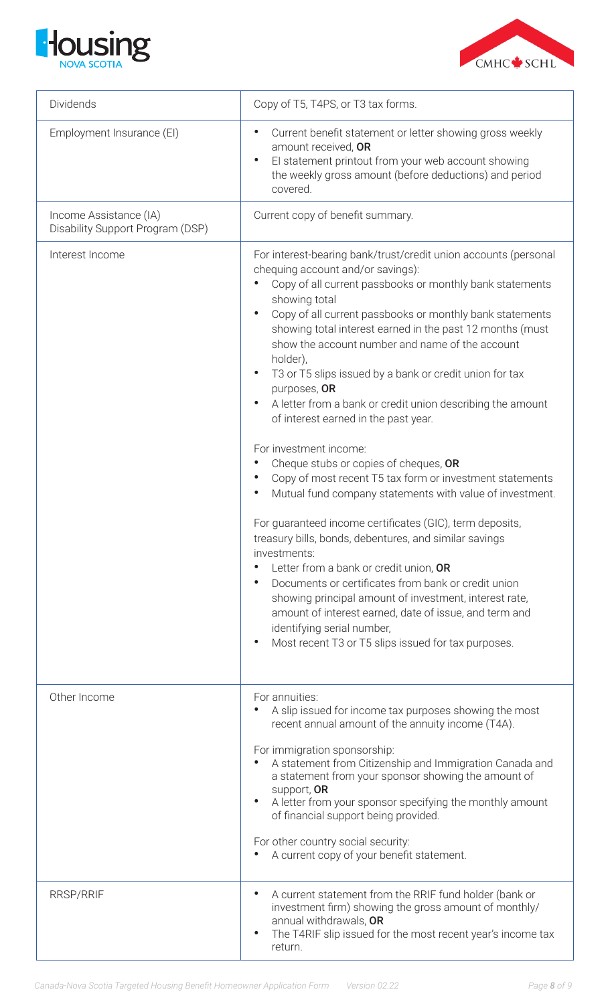



| Dividends                                                  | Copy of T5, T4PS, or T3 tax forms.                                                                                                                                                                                                                                                                                                                                                                                                                                                                                                                                                                                                                                                                                                                                                                                                                                                                                                                                                                                                                                                                                                                                                                                                                                                  |
|------------------------------------------------------------|-------------------------------------------------------------------------------------------------------------------------------------------------------------------------------------------------------------------------------------------------------------------------------------------------------------------------------------------------------------------------------------------------------------------------------------------------------------------------------------------------------------------------------------------------------------------------------------------------------------------------------------------------------------------------------------------------------------------------------------------------------------------------------------------------------------------------------------------------------------------------------------------------------------------------------------------------------------------------------------------------------------------------------------------------------------------------------------------------------------------------------------------------------------------------------------------------------------------------------------------------------------------------------------|
| Employment Insurance (EI)                                  | Current benefit statement or letter showing gross weekly<br>$\bullet$<br>amount received, OR<br>El statement printout from your web account showing<br>$\bullet$<br>the weekly gross amount (before deductions) and period<br>covered.                                                                                                                                                                                                                                                                                                                                                                                                                                                                                                                                                                                                                                                                                                                                                                                                                                                                                                                                                                                                                                              |
| Income Assistance (IA)<br>Disability Support Program (DSP) | Current copy of benefit summary.                                                                                                                                                                                                                                                                                                                                                                                                                                                                                                                                                                                                                                                                                                                                                                                                                                                                                                                                                                                                                                                                                                                                                                                                                                                    |
| Interest Income                                            | For interest-bearing bank/trust/credit union accounts (personal<br>chequing account and/or savings):<br>Copy of all current passbooks or monthly bank statements<br>showing total<br>Copy of all current passbooks or monthly bank statements<br>$\bullet$<br>showing total interest earned in the past 12 months (must<br>show the account number and name of the account<br>holder),<br>T3 or T5 slips issued by a bank or credit union for tax<br>$\bullet$<br>purposes, OR<br>A letter from a bank or credit union describing the amount<br>$\bullet$<br>of interest earned in the past year.<br>For investment income:<br>Cheque stubs or copies of cheques, OR<br>Copy of most recent T5 tax form or investment statements<br>Mutual fund company statements with value of investment.<br>$\bullet$<br>For guaranteed income certificates (GIC), term deposits,<br>treasury bills, bonds, debentures, and similar savings<br>investments:<br>Letter from a bank or credit union, OR<br>Documents or certificates from bank or credit union<br>$\bullet$<br>showing principal amount of investment, interest rate,<br>amount of interest earned, date of issue, and term and<br>identifying serial number,<br>Most recent T3 or T5 slips issued for tax purposes.<br>$\bullet$ |
| Other Income                                               | For annuities:<br>A slip issued for income tax purposes showing the most<br>recent annual amount of the annuity income (T4A).<br>For immigration sponsorship:<br>A statement from Citizenship and Immigration Canada and<br>a statement from your sponsor showing the amount of<br>support, OR<br>A letter from your sponsor specifying the monthly amount<br>$\bullet$<br>of financial support being provided.<br>For other country social security:<br>A current copy of your benefit statement.                                                                                                                                                                                                                                                                                                                                                                                                                                                                                                                                                                                                                                                                                                                                                                                  |
| <b>RRSP/RRIF</b>                                           | A current statement from the RRIF fund holder (bank or<br>$\bullet$<br>investment firm) showing the gross amount of monthly/<br>annual withdrawals, OR<br>The T4RIF slip issued for the most recent year's income tax<br>$\bullet$<br>return.                                                                                                                                                                                                                                                                                                                                                                                                                                                                                                                                                                                                                                                                                                                                                                                                                                                                                                                                                                                                                                       |